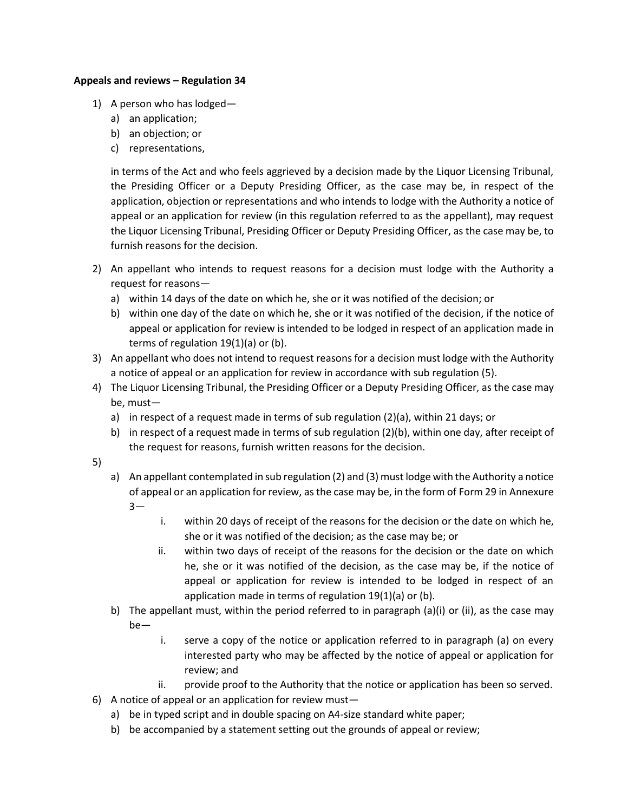## **Appeals and reviews – Regulation 34**

- 1) A person who has lodged
	- a) an application;
	- b) an objection; or
	- c) representations,

in terms of the Act and who feels aggrieved by a decision made by the Liquor Licensing Tribunal, the Presiding Officer or a Deputy Presiding Officer, as the case may be, in respect of the application, objection or representations and who intends to lodge with the Authority a notice of appeal or an application for review (in this regulation referred to as the appellant), may request the Liquor Licensing Tribunal, Presiding Officer or Deputy Presiding Officer, as the case may be, to furnish reasons for the decision.

- 2) An appellant who intends to request reasons for a decision must lodge with the Authority a request for reasons
	- a) within 14 days of the date on which he, she or it was notified of the decision; or
	- b) within one day of the date on which he, she or it was notified of the decision, if the notice of appeal or application for review is intended to be lodged in respect of an application made in terms of regulation 19(1)(a) or (b).
- 3) An appellant who does not intend to request reasons for a decision must lodge with the Authority a notice of appeal or an application for review in accordance with sub regulation (5).
- 4) The Liquor Licensing Tribunal, the Presiding Officer or a Deputy Presiding Officer, as the case may be, must
	- a) in respect of a request made in terms of sub regulation (2)(a), within 21 days; or
	- b) in respect of a request made in terms of sub regulation (2)(b), within one day, after receipt of the request for reasons, furnish written reasons for the decision.
- 5)
- a) An appellant contemplated in sub regulation (2) and (3) must lodge with the Authority a notice of appeal or an application for review, as the case may be, in the form of Form 29 in Annexure 3
	- i. within 20 days of receipt of the reasons for the decision or the date on which he, she or it was notified of the decision; as the case may be; or
	- ii. within two days of receipt of the reasons for the decision or the date on which he, she or it was notified of the decision, as the case may be, if the notice of appeal or application for review is intended to be lodged in respect of an application made in terms of regulation 19(1)(a) or (b).
- b) The appellant must, within the period referred to in paragraph  $(a)(i)$  or (ii), as the case may be
	- i. serve a copy of the notice or application referred to in paragraph (a) on every interested party who may be affected by the notice of appeal or application for review; and
	- ii. provide proof to the Authority that the notice or application has been so served.
- 6) A notice of appeal or an application for review must
	- a) be in typed script and in double spacing on A4-size standard white paper;
	- b) be accompanied by a statement setting out the grounds of appeal or review;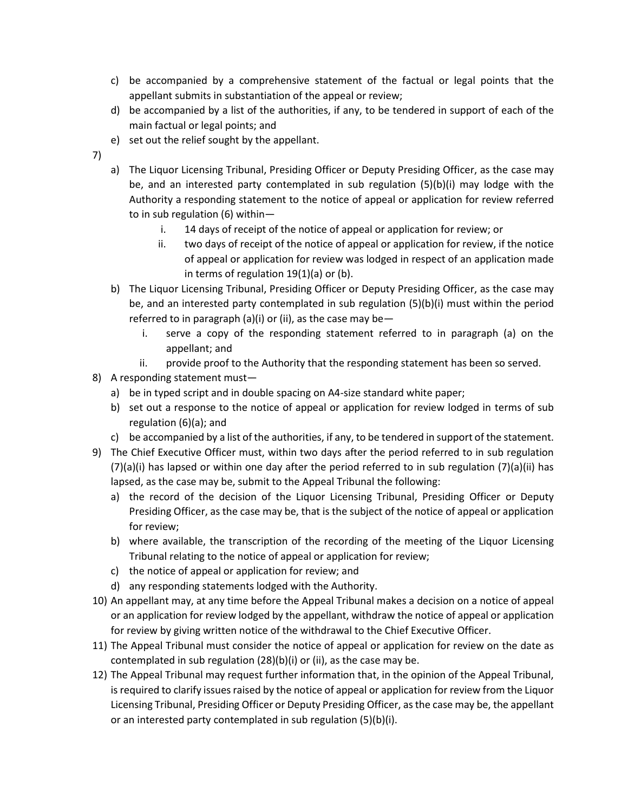- c) be accompanied by a comprehensive statement of the factual or legal points that the appellant submits in substantiation of the appeal or review;
- d) be accompanied by a list of the authorities, if any, to be tendered in support of each of the main factual or legal points; and
- e) set out the relief sought by the appellant.
- 7)
- a) The Liquor Licensing Tribunal, Presiding Officer or Deputy Presiding Officer, as the case may be, and an interested party contemplated in sub regulation (5)(b)(i) may lodge with the Authority a responding statement to the notice of appeal or application for review referred to in sub regulation (6) within
	- i. 14 days of receipt of the notice of appeal or application for review; or
	- ii. two days of receipt of the notice of appeal or application for review, if the notice of appeal or application for review was lodged in respect of an application made in terms of regulation 19(1)(a) or (b).
- b) The Liquor Licensing Tribunal, Presiding Officer or Deputy Presiding Officer, as the case may be, and an interested party contemplated in sub regulation (5)(b)(i) must within the period referred to in paragraph (a)(i) or (ii), as the case may be  $$ 
	- i. serve a copy of the responding statement referred to in paragraph (a) on the appellant; and
	- ii. provide proof to the Authority that the responding statement has been so served.
- 8) A responding statement must
	- a) be in typed script and in double spacing on A4-size standard white paper;
	- b) set out a response to the notice of appeal or application for review lodged in terms of sub regulation (6)(a); and
	- c) be accompanied by a list of the authorities, if any, to be tendered in support of the statement.
- 9) The Chief Executive Officer must, within two days after the period referred to in sub regulation  $(7)(a)(i)$  has lapsed or within one day after the period referred to in sub regulation  $(7)(a)(ii)$  has lapsed, as the case may be, submit to the Appeal Tribunal the following:
	- a) the record of the decision of the Liquor Licensing Tribunal, Presiding Officer or Deputy Presiding Officer, as the case may be, that is the subject of the notice of appeal or application for review;
	- b) where available, the transcription of the recording of the meeting of the Liquor Licensing Tribunal relating to the notice of appeal or application for review;
	- c) the notice of appeal or application for review; and
	- d) any responding statements lodged with the Authority.
- 10) An appellant may, at any time before the Appeal Tribunal makes a decision on a notice of appeal or an application for review lodged by the appellant, withdraw the notice of appeal or application for review by giving written notice of the withdrawal to the Chief Executive Officer.
- 11) The Appeal Tribunal must consider the notice of appeal or application for review on the date as contemplated in sub regulation (28)(b)(i) or (ii), as the case may be.
- 12) The Appeal Tribunal may request further information that, in the opinion of the Appeal Tribunal, is required to clarify issues raised by the notice of appeal or application for review from the Liquor Licensing Tribunal, Presiding Officer or Deputy Presiding Officer, as the case may be, the appellant or an interested party contemplated in sub regulation (5)(b)(i).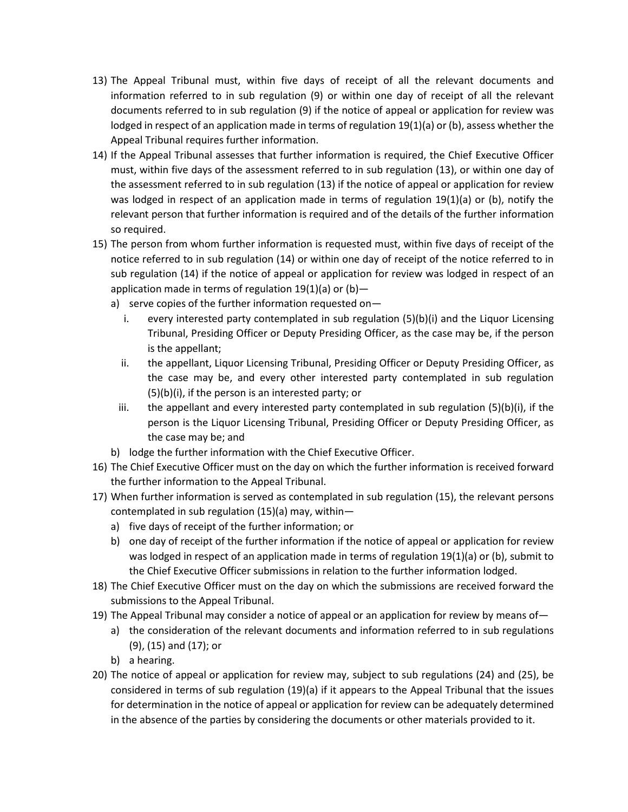- 13) The Appeal Tribunal must, within five days of receipt of all the relevant documents and information referred to in sub regulation (9) or within one day of receipt of all the relevant documents referred to in sub regulation (9) if the notice of appeal or application for review was lodged in respect of an application made in terms of regulation 19(1)(a) or (b), assess whether the Appeal Tribunal requires further information.
- 14) If the Appeal Tribunal assesses that further information is required, the Chief Executive Officer must, within five days of the assessment referred to in sub regulation (13), or within one day of the assessment referred to in sub regulation (13) if the notice of appeal or application for review was lodged in respect of an application made in terms of regulation 19(1)(a) or (b), notify the relevant person that further information is required and of the details of the further information so required.
- 15) The person from whom further information is requested must, within five days of receipt of the notice referred to in sub regulation (14) or within one day of receipt of the notice referred to in sub regulation (14) if the notice of appeal or application for review was lodged in respect of an application made in terms of regulation  $19(1)(a)$  or  $(b)$ 
	- a) serve copies of the further information requested on
		- i. every interested party contemplated in sub regulation (5)(b)(i) and the Liquor Licensing Tribunal, Presiding Officer or Deputy Presiding Officer, as the case may be, if the person is the appellant;
		- ii. the appellant, Liquor Licensing Tribunal, Presiding Officer or Deputy Presiding Officer, as the case may be, and every other interested party contemplated in sub regulation (5)(b)(i), if the person is an interested party; or
		- iii. the appellant and every interested party contemplated in sub regulation  $(5)(b)(i)$ , if the person is the Liquor Licensing Tribunal, Presiding Officer or Deputy Presiding Officer, as the case may be; and
	- b) lodge the further information with the Chief Executive Officer.
- 16) The Chief Executive Officer must on the day on which the further information is received forward the further information to the Appeal Tribunal.
- 17) When further information is served as contemplated in sub regulation (15), the relevant persons contemplated in sub regulation (15)(a) may, within
	- a) five days of receipt of the further information; or
	- b) one day of receipt of the further information if the notice of appeal or application for review was lodged in respect of an application made in terms of regulation 19(1)(a) or (b), submit to the Chief Executive Officer submissions in relation to the further information lodged.
- 18) The Chief Executive Officer must on the day on which the submissions are received forward the submissions to the Appeal Tribunal.
- 19) The Appeal Tribunal may consider a notice of appeal or an application for review by means of
	- a) the consideration of the relevant documents and information referred to in sub regulations (9), (15) and (17); or
	- b) a hearing.
- 20) The notice of appeal or application for review may, subject to sub regulations (24) and (25), be considered in terms of sub regulation (19)(a) if it appears to the Appeal Tribunal that the issues for determination in the notice of appeal or application for review can be adequately determined in the absence of the parties by considering the documents or other materials provided to it.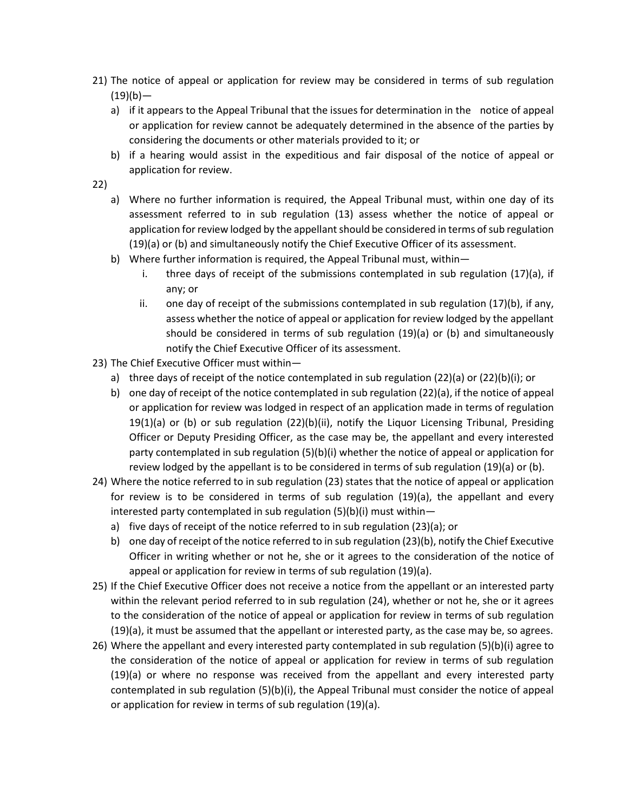- 21) The notice of appeal or application for review may be considered in terms of sub regulation  $(19)(b)$ 
	- a) if it appears to the Appeal Tribunal that the issues for determination in the notice of appeal or application for review cannot be adequately determined in the absence of the parties by considering the documents or other materials provided to it; or
	- b) if a hearing would assist in the expeditious and fair disposal of the notice of appeal or application for review.
- 22)
	- a) Where no further information is required, the Appeal Tribunal must, within one day of its assessment referred to in sub regulation (13) assess whether the notice of appeal or application for review lodged by the appellant should be considered in terms of sub regulation (19)(a) or (b) and simultaneously notify the Chief Executive Officer of its assessment.
	- b) Where further information is required, the Appeal Tribunal must, within
		- i. three days of receipt of the submissions contemplated in sub regulation (17)(a), if any; or
		- ii. one day of receipt of the submissions contemplated in sub regulation (17)(b), if any, assess whether the notice of appeal or application for review lodged by the appellant should be considered in terms of sub regulation (19)(a) or (b) and simultaneously notify the Chief Executive Officer of its assessment.
- 23) The Chief Executive Officer must within
	- a) three days of receipt of the notice contemplated in sub regulation (22)(a) or (22)(b)(i); or
	- b) one day of receipt of the notice contemplated in sub regulation (22)(a), if the notice of appeal or application for review was lodged in respect of an application made in terms of regulation 19(1)(a) or (b) or sub regulation (22)(b)(ii), notify the Liquor Licensing Tribunal, Presiding Officer or Deputy Presiding Officer, as the case may be, the appellant and every interested party contemplated in sub regulation (5)(b)(i) whether the notice of appeal or application for review lodged by the appellant is to be considered in terms of sub regulation (19)(a) or (b).
- 24) Where the notice referred to in sub regulation (23) states that the notice of appeal or application for review is to be considered in terms of sub regulation (19)(a), the appellant and every interested party contemplated in sub regulation (5)(b)(i) must within
	- a) five days of receipt of the notice referred to in sub regulation (23)(a); or
	- b) one day of receipt of the notice referred to in sub regulation (23)(b), notify the Chief Executive Officer in writing whether or not he, she or it agrees to the consideration of the notice of appeal or application for review in terms of sub regulation (19)(a).
- 25) If the Chief Executive Officer does not receive a notice from the appellant or an interested party within the relevant period referred to in sub regulation (24), whether or not he, she or it agrees to the consideration of the notice of appeal or application for review in terms of sub regulation (19)(a), it must be assumed that the appellant or interested party, as the case may be, so agrees.
- 26) Where the appellant and every interested party contemplated in sub regulation (5)(b)(i) agree to the consideration of the notice of appeal or application for review in terms of sub regulation (19)(a) or where no response was received from the appellant and every interested party contemplated in sub regulation (5)(b)(i), the Appeal Tribunal must consider the notice of appeal or application for review in terms of sub regulation (19)(a).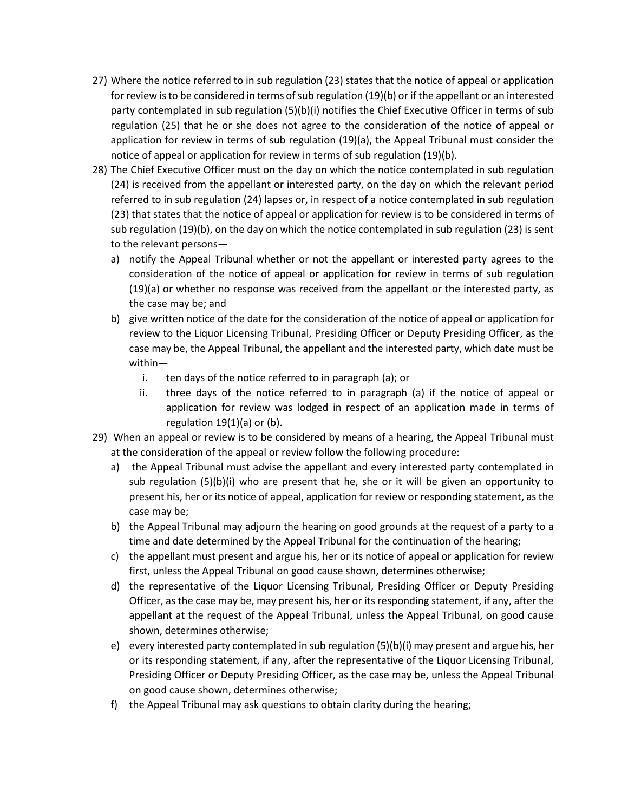- 27) Where the notice referred to in sub regulation (23) states that the notice of appeal or application for review is to be considered in terms of sub regulation (19)(b) or if the appellant or an interested party contemplated in sub regulation (5)(b)(i) notifies the Chief Executive Officer in terms of sub regulation (25) that he or she does not agree to the consideration of the notice of appeal or application for review in terms of sub regulation (19)(a), the Appeal Tribunal must consider the notice of appeal or application for review in terms of sub regulation (19)(b).
- 28) The Chief Executive Officer must on the day on which the notice contemplated in sub regulation (24) is received from the appellant or interested party, on the day on which the relevant period referred to in sub regulation (24) lapses or, in respect of a notice contemplated in sub regulation (23) that states that the notice of appeal or application for review is to be considered in terms of sub regulation (19)(b), on the day on which the notice contemplated in sub regulation (23) is sent to the relevant persons
	- a) notify the Appeal Tribunal whether or not the appellant or interested party agrees to the consideration of the notice of appeal or application for review in terms of sub regulation (19)(a) or whether no response was received from the appellant or the interested party, as the case may be; and
	- b) give written notice of the date for the consideration of the notice of appeal or application for review to the Liquor Licensing Tribunal, Presiding Officer or Deputy Presiding Officer, as the case may be, the Appeal Tribunal, the appellant and the interested party, which date must be within
		- i. ten days of the notice referred to in paragraph (a); or
		- ii. three days of the notice referred to in paragraph (a) if the notice of appeal or application for review was lodged in respect of an application made in terms of regulation 19(1)(a) or (b).
- 29) When an appeal or review is to be considered by means of a hearing, the Appeal Tribunal must at the consideration of the appeal or review follow the following procedure:
	- a) the Appeal Tribunal must advise the appellant and every interested party contemplated in sub regulation  $(5)(b)(i)$  who are present that he, she or it will be given an opportunity to present his, her or its notice of appeal, application for review or responding statement, as the case may be;
	- b) the Appeal Tribunal may adjourn the hearing on good grounds at the request of a party to a time and date determined by the Appeal Tribunal for the continuation of the hearing;
	- c) the appellant must present and argue his, her or its notice of appeal or application for review first, unless the Appeal Tribunal on good cause shown, determines otherwise;
	- d) the representative of the Liquor Licensing Tribunal, Presiding Officer or Deputy Presiding Officer, as the case may be, may present his, her or its responding statement, if any, after the appellant at the request of the Appeal Tribunal, unless the Appeal Tribunal, on good cause shown, determines otherwise;
	- e) every interested party contemplated in sub regulation (5)(b)(i) may present and argue his, her or its responding statement, if any, after the representative of the Liquor Licensing Tribunal, Presiding Officer or Deputy Presiding Officer, as the case may be, unless the Appeal Tribunal on good cause shown, determines otherwise;
	- f) the Appeal Tribunal may ask questions to obtain clarity during the hearing;